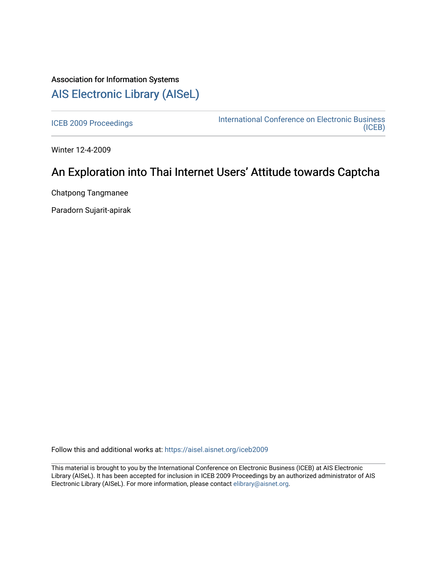# Association for Information Systems [AIS Electronic Library \(AISeL\)](https://aisel.aisnet.org/)

[ICEB 2009 Proceedings](https://aisel.aisnet.org/iceb2009) **International Conference on Electronic Business** [\(ICEB\)](https://aisel.aisnet.org/iceb) 

Winter 12-4-2009

# An Exploration into Thai Internet Users' Attitude towards Captcha

Chatpong Tangmanee

Paradorn Sujarit-apirak

Follow this and additional works at: [https://aisel.aisnet.org/iceb2009](https://aisel.aisnet.org/iceb2009?utm_source=aisel.aisnet.org%2Ficeb2009%2F104&utm_medium=PDF&utm_campaign=PDFCoverPages)

This material is brought to you by the International Conference on Electronic Business (ICEB) at AIS Electronic Library (AISeL). It has been accepted for inclusion in ICEB 2009 Proceedings by an authorized administrator of AIS Electronic Library (AISeL). For more information, please contact [elibrary@aisnet.org.](mailto:elibrary@aisnet.org%3E)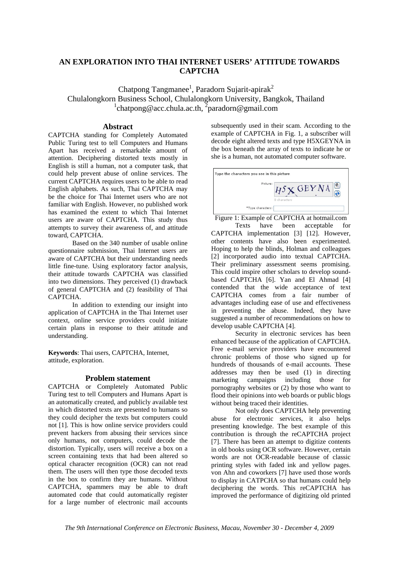## **AN EXPLORATION INTO THAI INTERNET USERS' ATTITUDE TOWARDS CAPTCHA**

Chatpong Tangmanee<sup>1</sup>, Paradorn Sujarit-apirak<sup>2</sup> Chulalongkorn Business School, Chulalongkorn University, Bangkok, Thailand <sup>1</sup>chatpong@acc.chula.ac.th, <sup>2</sup>paradorn@gmail.com

#### **Abstract**

CAPTCHA standing for Completely Automated Public Turing test to tell Computers and Humans Apart has received a remarkable amount of attention. Deciphering distorted texts mostly in English is still a human, not a computer task, that could help prevent abuse of online services. The current CAPTCHA requires users to be able to read English alphabets. As such, Thai CAPTCHA may be the choice for Thai Internet users who are not familiar with English. However, no published work has examined the extent to which Thai Internet users are aware of CAPTCHA. This study thus attempts to survey their awareness of, and attitude toward, CAPTCHA.

Based on the 340 number of usable online questionnaire submission, Thai Internet users are aware of CAPTCHA but their understanding needs little fine-tune. Using exploratory factor analysis, their attitude towards CAPTCHA was classified into two dimensions. They perceived (1) drawback of general CAPTCHA and (2) feasibility of Thai CAPTCHA.

In addition to extending our insight into application of CAPTCHA in the Thai Internet user context, online service providers could initiate certain plans in response to their attitude and understanding.

**Keywords**: Thai users, CAPTCHA, Internet, attitude, exploration.

#### **Problem statement**

CAPTCHA or Completely Automated Public Turing test to tell Computers and Humans Apart is an automatically created, and publicly available test in which distorted texts are presented to humans so they could decipher the texts but computers could not [1]. This is how online service providers could prevent hackers from abusing their services since only humans, not computers, could decode the distortion. Typically, users will receive a box on a screen containing texts that had been altered so optical character recognition (OCR) can not read them. The users will then type those decoded texts in the box to confirm they are humans. Without CAPTCHA, spammers may be able to draft automated code that could automatically register for a large number of electronic mail accounts subsequently used in their scam. According to the example of CAPTCHA in Fig. 1, a subscriber will decode eight altered texts and type H5XGEYNA in the box beneath the array of texts to indicate he or she is a human, not automated computer software.



Figure 1: Example of CAPTCHA at hotmail.com

Texts have been acceptable for CAPTCHA implementation [3] [12]. However, other contents have also been experimented. Hoping to help the blinds, Holman and colleagues [2] incorporated audio into textual CAPTCHA. Their preliminary assessment seems promising. This could inspire other scholars to develop soundbased CAPTCHA [6]. Yan and El Ahmad [4] contended that the wide acceptance of text CAPTCHA comes from a fair number of advantages including ease of use and effectiveness in preventing the abuse. Indeed, they have suggested a number of recommendations on how to develop usable CAPTCHA [4].

Security in electronic services has been enhanced because of the application of CAPTCHA. Free e-mail service providers have encountered chronic problems of those who signed up for hundreds of thousands of e-mail accounts. These addresses may then be used (1) in directing marketing campaigns including those for pornography websites or (2) by those who want to flood their opinions into web boards or public blogs without being traced their identities.

Not only does CAPTCHA help preventing abuse for electronic services, it also helps presenting knowledge. The best example of this contribution is through the reCAPTCHA project [7]. There has been an attempt to digitize contents in old books using OCR software. However, certain words are not OCR-readable because of classic printing styles with faded ink and yellow pages. von Ahn and coworkers [7] have used those words to display in CATPCHA so that humans could help deciphering the words. This reCAPTCHA has improved the performance of digitizing old printed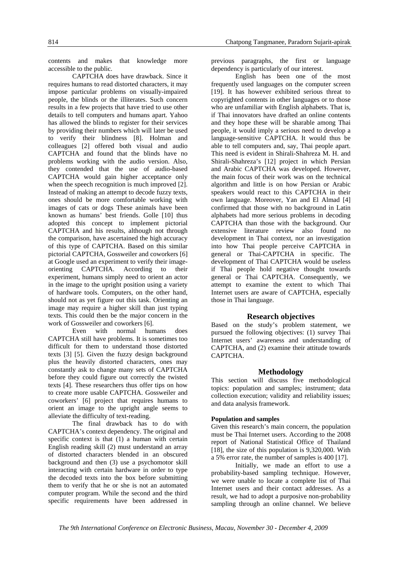contents and makes that knowledge more accessible to the public.

CAPTCHA does have drawback. Since it requires humans to read distorted characters, it may impose particular problems on visually-impaired people, the blinds or the illiterates. Such concern results in a few projects that have tried to use other details to tell computers and humans apart. Yahoo has allowed the blinds to register for their services by providing their numbers which will later be used to verify their blindness [8]. Holman and colleagues [2] offered both visual and audio CAPTCHA and found that the blinds have no problems working with the audio version. Also, they contended that the use of audio-based CAPTCHA would gain higher acceptance only when the speech recognition is much improved [2]. Instead of making an attempt to decode fuzzy texts, ones should be more comfortable working with images of cats or dogs These animals have been known as humans' best friends. Golle [10] thus adopted this concept to implement pictorial CAPTCHA and his results, although not through the comparison, have ascertained the high accuracy of this type of CAPTCHA. Based on this similar pictorial CAPTCHA, Gossweiler and coworkers [6] at Google used an experiment to verify their imageorienting CAPTCHA. According to their experiment, humans simply need to orient an actor in the image to the upright position using a variety of hardware tools. Computers, on the other hand, should not as yet figure out this task. Orienting an image may require a higher skill than just typing texts. This could then be the major concern in the work of Gossweiler and coworkers [6].

Even with normal humans does CAPTCHA still have problems. It is sometimes too difficult for them to understand those distorted texts [3] [5]. Given the fuzzy design background plus the heavily distorted characters, ones may constantly ask to change many sets of CAPTCHA before they could figure out correctly the twisted texts [4]. These researchers thus offer tips on how to create more usable CAPTCHA. Gossweiler and coworkers' [6] project that requires humans to orient an image to the upright angle seems to alleviate the difficulty of text-reading.

The final drawback has to do with CAPTCHA's context dependency. The original and specific context is that (1) a human with certain English reading skill (2) must understand an array of distorted characters blended in an obscured background and then (3) use a psychomotor skill interacting with certain hardware in order to type the decoded texts into the box before submitting them to verify that he or she is not an automated computer program. While the second and the third specific requirements have been addressed in previous paragraphs, the first or language dependency is particularly of our interest.

English has been one of the most frequently used languages on the computer screen [19]. It has however exhibited serious threat to copyrighted contents in other languages or to those who are unfamiliar with English alphabets. That is, if Thai innovators have drafted an online contents and they hope these will be sharable among Thai people, it would imply a serious need to develop a language-sensitive CAPTCHA. It would thus be able to tell computers and, say, Thai people apart. This need is evident in Shirali-Shahreza M. H. and Shirali-Shahreza's [12] project in which Persian and Arabic CAPTCHA was developed. However, the main focus of their work was on the technical algorithm and little is on how Persian or Arabic speakers would react to this CAPTCHA in their own language. Moreover, Yan and El Almad [4] confirmed that those with no background in Latin alphabets had more serious problems in decoding CAPTCHA than those with the background. Our extensive literature review also found no development in Thai context, nor an investigation into how Thai people perceive CAPTCHA in general or Thai-CAPTCHA in specific. The development of Thai CAPTCHA would be useless if Thai people hold negative thought towards general or Thai CAPTCHA. Consequently, we attempt to examine the extent to which Thai Internet users are aware of CAPTCHA, especially those in Thai language.

#### **Research objectives**

Based on the study's problem statement, we pursued the following objectives: (1) survey Thai Internet users' awareness and understanding of CAPTCHA, and (2) examine their attitude towards CAPTCHA.

#### **Methodology**

This section will discuss five methodological topics: population and samples; instrument; data collection execution; validity and reliability issues; and data analysis framework.

#### **Population and samples**

Given this research's main concern, the population must be Thai Internet users. According to the 2008 report of National Statistical Office of Thailand [18], the size of this population is 9,320,000. With a 5% error rate, the number of samples is 400 [17].

Initially, we made an effort to use a probability-based sampling technique. However, we were unable to locate a complete list of Thai Internet users and their contact addresses. As a result, we had to adopt a purposive non-probability sampling through an online channel. We believe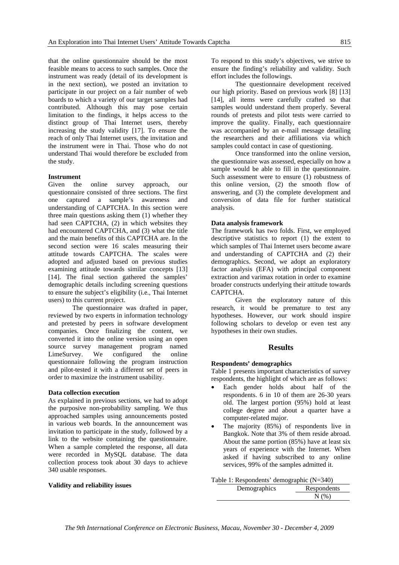that the online questionnaire should be the most feasible means to access to such samples. Once the instrument was ready (detail of its development is in the next section), we posted an invitation to participate in our project on a fair number of web boards to which a variety of our target samples had contributed. Although this may pose certain limitation to the findings, it helps access to the distinct group of Thai Internet users, thereby increasing the study validity [17]. To ensure the reach of only Thai Internet users, the invitation and the instrument were in Thai. Those who do not understand Thai would therefore be excluded from the study.

#### **Instrument**

Given the online survey approach, our questionnaire consisted of three sections. The first one captured a sample's awareness and understanding of CAPTCHA. In this section were three main questions asking them (1) whether they had seen CAPTCHA, (2) in which websites they had encountered CAPTCHA, and (3) what the title and the main benefits of this CAPTCHA are. In the second section were 16 scales measuring their attitude towards CAPTCHA. The scales were adopted and adjusted based on previous studies examining attitude towards similar concepts [13] [14]. The final section gathered the samples' demographic details including screening questions to ensure the subject's eligibility (i.e., Thai Internet users) to this current project.

The questionnaire was drafted in paper, reviewed by two experts in information technology and pretested by peers in software development companies. Once finalizing the content, we converted it into the online version using an open source survey management program named LimeSurvey. We configured the online questionnaire following the program instruction and pilot-tested it with a different set of peers in order to maximize the instrument usability.

#### **Data collection execution**

As explained in previous sections, we had to adopt the purposive non-probability sampling. We thus approached samples using announcements posted in various web boards. In the announcement was invitation to participate in the study, followed by a link to the website containing the questionnaire. When a sample completed the response, all data were recorded in MySQL database. The data collection process took about 30 days to achieve 340 usable responses.

**Validity and reliability issues** 

To respond to this study's objectives, we strive to ensure the finding's reliability and validity. Such effort includes the followings.

The questionnaire development received our high priority. Based on previous work [8] [13] [14], all items were carefully crafted so that samples would understand them properly. Several rounds of pretests and pilot tests were carried to improve the quality. Finally, each questionnaire was accompanied by an e-mail message detailing the researchers and their affiliations via which samples could contact in case of questioning.

Once transformed into the online version, the questionnaire was assessed, especially on how a sample would be able to fill in the questionnaire. Such assessment were to ensure (1) robustness of this online version, (2) the smooth flow of answering, and (3) the complete development and conversion of data file for further statistical analysis.

#### **Data analysis framework**

The framework has two folds. First, we employed descriptive statistics to report (1) the extent to which samples of Thai Internet users become aware and understanding of CAPTCHA and (2) their demographics. Second, we adopt an exploratory factor analysis (EFA) with principal component extraction and varimax rotation in order to examine broader constructs underlying their attitude towards **CAPTCHA** 

Given the exploratory nature of this research, it would be premature to test any hypotheses. However, our work should inspire following scholars to develop or even test any hypotheses in their own studies.

### **Results**

#### **Respondents' demographics**

Table 1 presents important characteristics of survey respondents, the highlight of which are as follows:

- Each gender holds about half of the respondents. 6 in 10 of them are 26-30 years old. The largest portion (95%) hold at least college degree and about a quarter have a computer-related major.
- The majority (85%) of respondents live in Bangkok. Note that 3% of them reside abroad. About the same portion (85%) have at least six years of experience with the Internet. When asked if having subscribed to any online services, 99% of the samples admitted it.

#### Table 1: Respondents' demographic (N=340)

| Demographics | Respondents |
|--------------|-------------|
|              |             |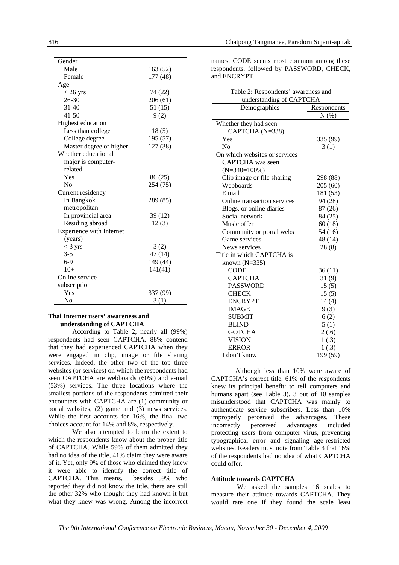| Gender                   |          |
|--------------------------|----------|
| Male                     | 163 (52) |
| Female                   | 177 (48) |
| Age                      |          |
| $< 26$ yrs               | 74 (22)  |
| $26 - 30$                | 206(61)  |
| $31 - 40$                | 51 (15)  |
| $41 - 50$                | 9(2)     |
| Highest education        |          |
| Less than college        | 18(5)    |
| College degree           | 195 (57) |
| Master degree or higher  | 127 (38) |
| Whether educational      |          |
| major is computer-       |          |
| related                  |          |
| Yes                      | 86 (25)  |
| No                       | 254 (75) |
| Current residency        |          |
| In Bangkok               | 289 (85) |
| metropolitan             |          |
| In provincial area       | 39(12)   |
| Residing abroad          | 12(3)    |
| Experience with Internet |          |
| (years)                  |          |
| $<$ 3 yrs                | 3(2)     |
| $3 - 5$                  | 47 (14)  |
| $6-9$                    | 149 (44) |
| $10+$                    | 141(41)  |
| Online service           |          |
| subscription             |          |
| Yes                      | 337 (99) |
| No                       | 3(1)     |

### **Thai Internet users' awareness and understanding of CAPTCHA**

According to Table 2, nearly all (99%) respondents had seen CAPTCHA. 88% contend that they had experienced CAPTCHA when they were engaged in clip, image or file sharing services. Indeed, the other two of the top three websites (or services) on which the respondents had seen CAPTCHA are webboards (60%) and e-mail (53%) services. The three locations where the smallest portions of the respondents admitted their encounters with CAPTCHA are (1) community or portal websites, (2) game and (3) news services. While the first accounts for 16%, the final two choices account for 14% and 8%, respectively.

We also attempted to learn the extent to which the respondents know about the proper title of CAPTCHA. While 59% of them admitted they had no idea of the title, 41% claim they were aware of it. Yet, only 9% of those who claimed they knew it were able to identify the correct title of CAPTCHA. This means, besides 59% who reported they did not know the title, there are still the other 32% who thought they had known it but what they knew was wrong. Among the incorrect names, CODE seems most common among these respondents, followed by PASSWORD, CHECK, and ENCRYPT.

Table 2: Respondents' awareness and

| $1 \text{ and } 2.$ Respondents awareness and<br>understanding of CAPTCHA |          |  |  |  |  |
|---------------------------------------------------------------------------|----------|--|--|--|--|
| Demographics<br>Respondents                                               |          |  |  |  |  |
|                                                                           | N(%)     |  |  |  |  |
| Whether they had seen                                                     |          |  |  |  |  |
| CAPTCHA (N=338)                                                           |          |  |  |  |  |
| Yes                                                                       | 335 (99) |  |  |  |  |
| N <sub>0</sub>                                                            | 3(1)     |  |  |  |  |
| On which websites or services                                             |          |  |  |  |  |
| CAPTCHA was seen                                                          |          |  |  |  |  |
| $(N=340=100\%)$                                                           |          |  |  |  |  |
| Clip image or file sharing                                                | 298 (88) |  |  |  |  |
| Webboards                                                                 | 205(60)  |  |  |  |  |
| E mail                                                                    | 181 (53) |  |  |  |  |
| Online transaction services                                               | 94 (28)  |  |  |  |  |
| Blogs, or online diaries                                                  | 87 (26)  |  |  |  |  |
| Social network                                                            | 84 (25)  |  |  |  |  |
| Music offer                                                               | 60(18)   |  |  |  |  |
| Community or portal webs                                                  | 54 (16)  |  |  |  |  |
| Game services                                                             | 48 (14)  |  |  |  |  |
| News services                                                             | 28(8)    |  |  |  |  |
| Title in which CAPTCHA is                                                 |          |  |  |  |  |
| known $(N=335)$                                                           |          |  |  |  |  |
| <b>CODE</b>                                                               | 36(11)   |  |  |  |  |
| <b>CAPTCHA</b>                                                            | 31(9)    |  |  |  |  |
| <b>PASSWORD</b>                                                           | 15(5)    |  |  |  |  |
| <b>CHECK</b>                                                              | 15(5)    |  |  |  |  |
| <b>ENCRYPT</b>                                                            | 14(4)    |  |  |  |  |
| <b>IMAGE</b>                                                              | 9(3)     |  |  |  |  |
| <b>SUBMIT</b>                                                             | 6(2)     |  |  |  |  |
| <b>BLIND</b>                                                              | 5(1)     |  |  |  |  |
| <b>GOTCHA</b>                                                             | 2(.6)    |  |  |  |  |
| <b>VISION</b>                                                             | 1(.3)    |  |  |  |  |
| <b>ERROR</b>                                                              | 1(.3)    |  |  |  |  |
| I don't know                                                              | 199 (59) |  |  |  |  |

Although less than 10% were aware of CAPTCHA's correct title, 61% of the respondents knew its principal benefit: to tell computers and humans apart (see Table 3). 3 out of 10 samples misunderstood that CAPTCHA was mainly to authenticate service subscribers. Less than 10% improperly perceived the advantages. These incorrectly perceived advantages included protecting users from computer virus, preventing typographical error and signaling age-restricted websites. Readers must note from Table 3 that 16% of the respondents had no idea of what CAPTCHA could offer.

#### **Attitude towards CAPTCHA**

 We asked the samples 16 scales to measure their attitude towards CAPTCHA. They would rate one if they found the scale least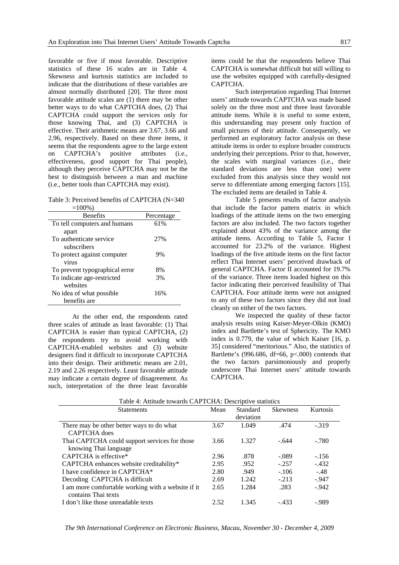favorable or five if most favorable. Descriptive statistics of these 16 scales are in Table 4. Skewness and kurtosis statistics are included to indicate that the distributions of these variables are almost normally distributed [20]. The three most favorable attitude scales are (1) there may be other better ways to do what CAPTCHA does, (2) Thai CAPTCHA could support the services only for those knowing Thai, and (3) CAPTCHA is effective. Their arithmetic means are 3.67, 3.66 and 2.96, respectively. Based on these three items, it seems that the respondents agree to the large extent<br>on CAPTCHA's positive attributes (i.e., on CAPTCHA's positive attributes (i.e., effectiveness, good support for Thai people), although they perceive CAPTCHA may not be the best to distinguish between a man and machine (i.e., better tools than CAPTCHA may exist).

Table 3: Perceived benefits of CAPTCHA (N=340  $=1000(3)$ 

| -100707                        |            |
|--------------------------------|------------|
| <b>Benefits</b>                | Percentage |
| To tell computers and humans   | 61%        |
| apart                          |            |
| To authenticate service        | 27%        |
| subscribers                    |            |
| To protect against computer    | 9%         |
| virus                          |            |
| To prevent typographical error | 8%         |
| To indicate age-restricted     | 3%         |
| websites                       |            |
| No idea of what possible       | 16%        |
| benefits are                   |            |

At the other end, the respondents rated three scales of attitude as least favorable: (1) Thai CAPTCHA is easier than typical CAPTCHA, (2) the respondents try to avoid working with CAPTCHA-enabled websites and (3) website designers find it difficult to incorporate CAPTCHA into their design. Their arithmetic means are 2.01, 2.19 and 2.26 respectively. Least favorable attitude may indicate a certain degree of disagreement. As such, interpretation of the three least favorable

items could be that the respondents believe Thai CAPTCHA is somewhat difficult but still willing to use the websites equipped with carefully-designed CAPTCHA.

Such interpretation regarding Thai Internet users' attitude towards CAPTCHA was made based solely on the three most and three least favorable attitude items. While it is useful to some extent, this understanding may present only fraction of small pictures of their attitude. Consequently, we performed an exploratory factor analysis on these attitude items in order to explore broader constructs underlying their perceptions. Prior to that, however, the scales with marginal variances (i.e., their standard deviations are less than one) were excluded from this analysis since they would not serve to differentiate among emerging factors [15]. The excluded items are detailed in Table 4.

Table 5 presents results of factor analysis that include the factor pattern matrix in which loadings of the attitude items on the two emerging factors are also included. The two factors together explained about 43% of the variance among the attitude items. According to Table 5, Factor I accounted for 23.2% of the variance. Highest loadings of the five attitude items on the first factor reflect Thai Internet users' perceived drawback of general CAPTCHA. Factor II accounted for 19.7% of the variance. Three items loaded highest on this factor indicating their perceived feasibility of Thai CAPTCHA. Four attitude items were not assigned to any of these two factors since they did not load cleanly on either of the two factors.

We inspected the quality of these factor analysis results using Kaiser-Meyer-Olkin (KMO) index and Bartlette's test of Sphericity. The KMO index is 0.779, the value of which Kaiser [16, p. 35] considered "meritorious." Also, the statistics of Bartlette's (996.686, df=66,  $p<0.00$ ) contends that the two factors parsimoniously and properly underscore Thai Internet users' attitude towards CAPTCHA.

| <b>Statements</b>                                  | Mean | Standard  | <b>Skewness</b> | Kurtosis |
|----------------------------------------------------|------|-----------|-----------------|----------|
|                                                    |      | deviation |                 |          |
| There may be other better ways to do what          | 3.67 | 1.049     | .474            | $-.319$  |
| <b>CAPTCHA</b> does                                |      |           |                 |          |
| Thai CAPTCHA could support services for those      | 3.66 | 1.327     | $-.644$         | $-.780$  |
| knowing Thai language                              |      |           |                 |          |
| CAPTCHA is effective*                              | 2.96 | .878      | $-.089$         | $-.156$  |
| CAPTCHA enhances website creditability*            | 2.95 | .952      | $-.257$         | $-432$   |
| I have confidence in CAPTCHA <sup>*</sup>          | 2.80 | .949      | $-.106$         | $-.48$   |
| Decoding CAPTCHA is difficult                      | 2.69 | 1.242     | $-.213$         | $-.947$  |
| I am more comfortable working with a website if it | 2.65 | 1.284     | .283            | $-942$   |
| contains Thai texts                                |      |           |                 |          |
| I don't like those unreadable texts                | 2.52 | 1.345     | $-.433$         | -.989    |

Table 4: Attitude towards CAPTCHA: Descriptive statistics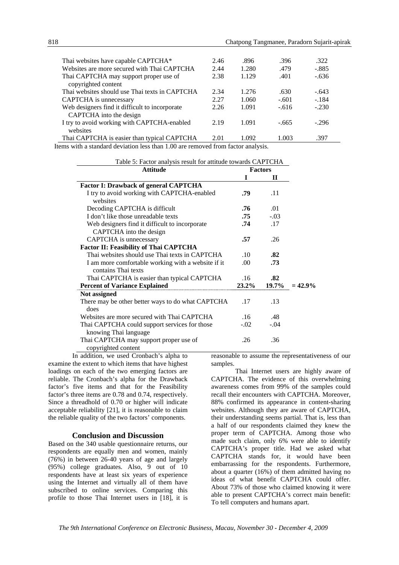| Thai websites have capable CAPTCHA*                                            | 2.46 | .896  | .396    | .322    |
|--------------------------------------------------------------------------------|------|-------|---------|---------|
| Websites are more secured with Thai CAPTCHA                                    | 2.44 | 1.280 | .479    | $-.885$ |
| Thai CAPTCHA may support proper use of<br>copyrighted content                  | 2.38 | 1.129 | .401    | $-.636$ |
| Thai websites should use Thai texts in CAPTCHA                                 | 2.34 | 1.276 | .630    | $-.643$ |
| CAPTCHA is unnecessary                                                         | 2.27 | 1.060 | $-.601$ | $-.184$ |
| Web designers find it difficult to incorporate<br>CAPTCHA into the design      | 2.26 | 1.091 | $-.616$ | $-.230$ |
| I try to avoid working with CAPTCHA-enabled<br>websites                        | 2.19 | 1.091 | $-.665$ | $-.296$ |
| Thai CAPTCHA is easier than typical CAPTCHA                                    | 2.01 | 1.092 | 1.003   | .397    |
| toms with a standard doviation loss than 1.00 are removed from factor analysis |      |       |         |         |

Items with a standard deviation less than 1.00 are removed from factor analysis.

|  |  |  |  |  |  |  | Table 5: Factor analysis result for attitude towards CAPTCHA |
|--|--|--|--|--|--|--|--------------------------------------------------------------|
|--|--|--|--|--|--|--|--------------------------------------------------------------|

| <b>Attitude</b>                                         | <b>Factors</b>   |              |            |
|---------------------------------------------------------|------------------|--------------|------------|
|                                                         | T                | $\mathbf{H}$ |            |
| <b>Factor I: Drawback of general CAPTCHA</b>            |                  |              |            |
| I try to avoid working with CAPTCHA-enabled<br>websites | .79              | .11          |            |
| Decoding CAPTCHA is difficult                           | .76              | .01          |            |
| I don't like those unreadable texts                     | .75              | $-.03$       |            |
| Web designers find it difficult to incorporate          | .74              | .17          |            |
| CAPTCHA into the design                                 |                  |              |            |
| CAPTCHA is unnecessary                                  | .57              | .26          |            |
| <b>Factor II: Feasibility of Thai CAPTCHA</b>           |                  |              |            |
| Thai websites should use Thai texts in CAPTCHA          | .10 <sup>°</sup> | .82          |            |
| I am more comfortable working with a website if it      | .00              | .73          |            |
| contains Thai texts                                     |                  |              |            |
| Thai CAPTCHA is easier than typical CAPTCHA             | .16              | .82          |            |
| <b>Percent of Variance Explained</b>                    | $23.2\%$         | 19.7%        | $= 42.9\%$ |
| Not assigned                                            |                  |              |            |
| There may be other better ways to do what CAPTCHA       | .17              | .13          |            |
| does                                                    |                  |              |            |
| Websites are more secured with Thai CAPTCHA             | .16              | .48          |            |
| Thai CAPTCHA could support services for those           | $-.02$           | $-.04$       |            |
| knowing Thai language                                   |                  |              |            |
| Thai CAPTCHA may support proper use of                  | .26              | .36          |            |
| copyrighted content                                     |                  |              |            |

In addition, we used Cronbach's alpha to examine the extent to which items that have highest loadings on each of the two emerging factors are reliable. The Cronbach's alpha for the Drawback factor's five items and that for the Feasibility factor's three items are 0.78 and 0.74, respectively. Since a threadhold of 0.70 or higher will indicate acceptable reliability [21], it is reasonable to claim the reliable quality of the two factors' components.

#### **Conclusion and Discussion**

Based on the 340 usable questionnaire returns, our respondents are equally men and women, mainly (76%) in between 26-40 years of age and largely (95%) college graduates. Also, 9 out of 10 respondents have at least six years of experience using the Internet and virtually all of them have subscribed to online services. Comparing this profile to those Thai Internet users in [18], it is reasonable to assume the representativeness of our samples.

Thai Internet users are highly aware of CAPTCHA. The evidence of this overwhelming awareness comes from 99% of the samples could recall their encounters with CAPTCHA. Moreover, 88% confirmed its appearance in content-sharing websites. Although they are aware of CAPTCHA, their understanding seems partial. That is, less than a half of our respondents claimed they knew the proper term of CAPTCHA. Among those who made such claim, only 6% were able to identify CAPTCHA's proper title. Had we asked what CAPTCHA stands for, it would have been embarrassing for the respondents. Furthermore, about a quarter (16%) of them admitted having no ideas of what benefit CAPTCHA could offer. About 73% of those who claimed knowing it were able to present CAPTCHA's correct main benefit: To tell computers and humans apart.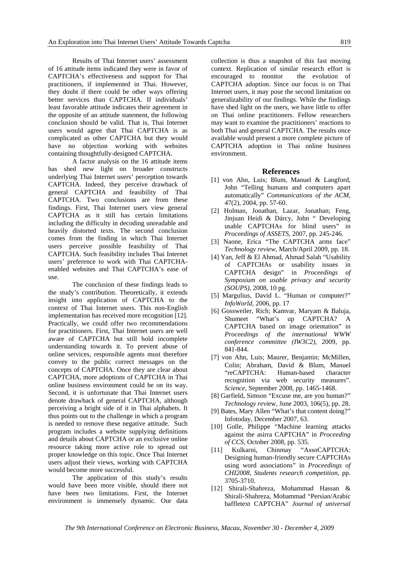Results of Thai Internet users' assessment of 16 attitude items indicated they were in favor of CAPTCHA's effectiveness and support for Thai practitioners, if implemented in Thai. However, they doubt if there could be other ways offering better services than CAPTCHA. If individuals' least favorable attitude indicates their agreement in the opposite of an attitude statement, the following conclusion should be valid. That is, Thai Internet users would agree that Thai CAPTCHA is as complicated as other CAPTCHA but they would have no objection working with websites containing thoughtfully-designed CAPTCHA.

A factor analysis on the 16 attitude items has shed new light on broader constructs underlying Thai Internet users' perception towards CAPTCHA. Indeed, they perceive drawback of general CAPTCHA and feasibility of Thai CAPTCHA. Two conclusions are from these findings. First, Thai Internet users view general CAPTCHA as it still has certain limitations including the difficulty in decoding unreadable and heavily distorted texts. The second conclusion comes from the finding in which Thai Internet users perceive possible feasibility of Thai CAPTCHA. Such feasibility includes Thai Internet users' preference to work with Thai CAPTCHAenabled websites and Thai CAPTCHA's ease of use.

The conclusion of these findings leads to the study's contribution. Theoretically, it extends insight into application of CAPTCHA to the context of Thai Internet users. This non-English implementation has received more recognition [12]. Practically, we could offer two recommendations for practitioners. First, Thai Internet users are well aware of CAPTCHA but still hold incomplete understanding towards it. To prevent abuse of online services, responsible agents must therefore convey to the public correct messages on the concepts of CAPTCHA. Once they are clear about CAPTCHA, more adoptions of CAPTCHA in Thai online business environment could be on its way. Second, it is unfortunate that Thai Internet users denote drawback of general CAPTCHA, although perceiving a bright side of it in Thai alphabets. It thus points out to the challenge in which a program is needed to remove these negative attitude. Such program includes a website supplying definitions and details about CAPTCHA or an exclusive online resource taking more active role to spread out proper knowledge on this topic. Once Thai Internet users adjust their views, working with CAPTCHA would become more successful.

The application of this study's results would have been more visible, should there not have been two limitations. First, the Internet environment is immensely dynamic. Our data collection is thus a snapshot of this fast moving context. Replication of similar research effort is encouraged to monitor the evolution of CAPTCHA adoption. Since our focus is on Thai Internet users, it may pose the second limitation on generalizability of our findings. While the findings have shed light on the users, we have little to offer on Thai online practitioners. Fellow researchers may want to examine the practitioners' reactions to both Thai and general CAPTCHA. The results once available would present a more complete picture of CAPTCHA adoption in Thai online business environment.

#### **References**

- [1] von Ahn, Luis; Blum, Manuel & Langford, John "Telling humans and computers apart automatically" *Communications of the ACM*, 47(2), 2004, pp. 57-60.
- [2] Holman, Jonathan, Lazar, Jonathan; Feng, Jinjuan Heidi & Dárcy, John " Developing usable CAPTCHAs for blind users" in *Proceedings of ASSETS*, 2007, pp. 245-246.
- [3] Naone, Erica "The CAPTCHA arms face" *Technology review*, March/April 2009, pp. 18.
- [4] Yan, Jeff & El Ahmad, Ahmad Salah "Usability of CAPTCHAs or usability issues in CAPTCHA design" in *Proceedings of Symposium on usable privacy and security (SOUPS)*, 2008, 10 pg.
- [5] Margulius, David L. "Human or computer?" *InfoWorld*, 2006, pp. 17
- [6] Gossweiler, Rich; Kamvar, Maryam & Baluja, Shumeet "What's up CAPTCHA? A CAPTCHA based on image orientation" in *Proceedings of the international WWW conference committee (IW3C2)*, 2009, pp. 841-844.
- [7] von Ahn, Luis; Maurer, Benjamin; McMillen, Colin; Abraham, David & Blum, Manuel "reCAPTCHA: Human-based character recognition via web security measures". *Science*, September 2008, pp. 1465-1468.
- [8] Garfield, Simson "Excuse me, are you human?" *Technology revi*ew, June 2003, 106(5), pp. 28.
- [9] Bates, Mary Allen "What's that content doing?" Infotoday, December 2007, 63.
- [10] Golle, Philippe "Machine learning attacks against the asirra CAPTCHA" in *Proceeding of CCS*, October 2008, pp. 535.
- [11] Kulkarni, Chinmay "AssoCAPTCHA: Designing human-friendly secure CAPTCHAs using word associations" in *Proceedings of CHI2008, Students research competition*, pp. 3705-3710.
- [12] Shirali-Shahreza, Mohammad Hassan & Shirali-Shahreza, Mohammad "Persian/Arabic baffletext CAPTCHA" *Journal of universal*